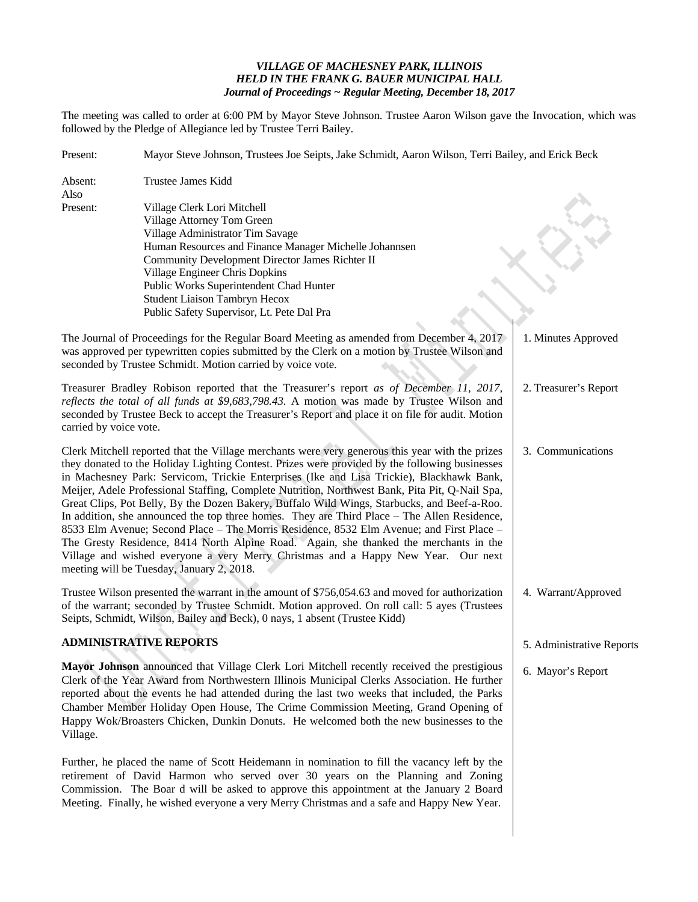## *VILLAGE OF MACHESNEY PARK, ILLINOIS HELD IN THE FRANK G. BAUER MUNICIPAL HALL Journal of Proceedings ~ Regular Meeting, December 18, 2017*

The meeting was called to order at 6:00 PM by Mayor Steve Johnson. Trustee Aaron Wilson gave the Invocation, which was followed by the Pledge of Allegiance led by Trustee Terri Bailey.

| Present:               | Mayor Steve Johnson, Trustees Joe Seipts, Jake Schmidt, Aaron Wilson, Terri Bailey, and Erick Beck                                                                                                                                                                                                                                                                                                                                                                                                                                                                                                                                                                                                                                                                                                                                                                                                                   |                           |  |
|------------------------|----------------------------------------------------------------------------------------------------------------------------------------------------------------------------------------------------------------------------------------------------------------------------------------------------------------------------------------------------------------------------------------------------------------------------------------------------------------------------------------------------------------------------------------------------------------------------------------------------------------------------------------------------------------------------------------------------------------------------------------------------------------------------------------------------------------------------------------------------------------------------------------------------------------------|---------------------------|--|
| Absent:<br>Also        | Trustee James Kidd                                                                                                                                                                                                                                                                                                                                                                                                                                                                                                                                                                                                                                                                                                                                                                                                                                                                                                   |                           |  |
| Present:               | Village Clerk Lori Mitchell<br>Village Attorney Tom Green<br>Village Administrator Tim Savage<br>Human Resources and Finance Manager Michelle Johannsen<br>Community Development Director James Richter II<br>Village Engineer Chris Dopkins<br>Public Works Superintendent Chad Hunter<br><b>Student Liaison Tambryn Hecox</b><br>Public Safety Supervisor, Lt. Pete Dal Pra                                                                                                                                                                                                                                                                                                                                                                                                                                                                                                                                        |                           |  |
|                        | The Journal of Proceedings for the Regular Board Meeting as amended from December 4, 2017<br>was approved per typewritten copies submitted by the Clerk on a motion by Trustee Wilson and<br>seconded by Trustee Schmidt. Motion carried by voice vote.                                                                                                                                                                                                                                                                                                                                                                                                                                                                                                                                                                                                                                                              | 1. Minutes Approved       |  |
| carried by voice vote. | Treasurer Bradley Robison reported that the Treasurer's report as of December 11, 2017,<br>reflects the total of all funds at \$9,683,798.43. A motion was made by Trustee Wilson and<br>seconded by Trustee Beck to accept the Treasurer's Report and place it on file for audit. Motion                                                                                                                                                                                                                                                                                                                                                                                                                                                                                                                                                                                                                            | 2. Treasurer's Report     |  |
|                        | Clerk Mitchell reported that the Village merchants were very generous this year with the prizes<br>they donated to the Holiday Lighting Contest. Prizes were provided by the following businesses<br>in Machesney Park: Servicom, Trickie Enterprises (Ike and Lisa Trickie), Blackhawk Bank,<br>Meijer, Adele Professional Staffing, Complete Nutrition, Northwest Bank, Pita Pit, Q-Nail Spa,<br>Great Clips, Pot Belly, By the Dozen Bakery, Buffalo Wild Wings, Starbucks, and Beef-a-Roo.<br>In addition, she announced the top three homes. They are Third Place – The Allen Residence,<br>8533 Elm Avenue; Second Place - The Morris Residence, 8532 Elm Avenue; and First Place -<br>The Gresty Residence, 8414 North Alpine Road. Again, she thanked the merchants in the<br>Village and wished everyone a very Merry Christmas and a Happy New Year. Our next<br>meeting will be Tuesday, January 2, 2018. | 3. Communications         |  |
|                        | Trustee Wilson presented the warrant in the amount of \$756,054.63 and moved for authorization<br>of the warrant; seconded by Trustee Schmidt. Motion approved. On roll call: 5 ayes (Trustees<br>Seipts, Schmidt, Wilson, Bailey and Beck), 0 nays, 1 absent (Trustee Kidd)                                                                                                                                                                                                                                                                                                                                                                                                                                                                                                                                                                                                                                         | 4. Warrant/Approved       |  |
|                        | <b>ADMINISTRATIVE REPORTS</b>                                                                                                                                                                                                                                                                                                                                                                                                                                                                                                                                                                                                                                                                                                                                                                                                                                                                                        | 5. Administrative Reports |  |
| Village.               | Mayor Johnson announced that Village Clerk Lori Mitchell recently received the prestigious<br>Clerk of the Year Award from Northwestern Illinois Municipal Clerks Association. He further<br>reported about the events he had attended during the last two weeks that included, the Parks<br>Chamber Member Holiday Open House, The Crime Commission Meeting, Grand Opening of<br>Happy Wok/Broasters Chicken, Dunkin Donuts. He welcomed both the new businesses to the                                                                                                                                                                                                                                                                                                                                                                                                                                             | 6. Mayor's Report         |  |
|                        | Further, he placed the name of Scott Heidemann in nomination to fill the vacancy left by the<br>retirement of David Harmon who served over 30 years on the Planning and Zoning<br>Commission. The Boar d will be asked to approve this appointment at the January 2 Board<br>Meeting. Finally, he wished everyone a very Merry Christmas and a safe and Happy New Year.                                                                                                                                                                                                                                                                                                                                                                                                                                                                                                                                              |                           |  |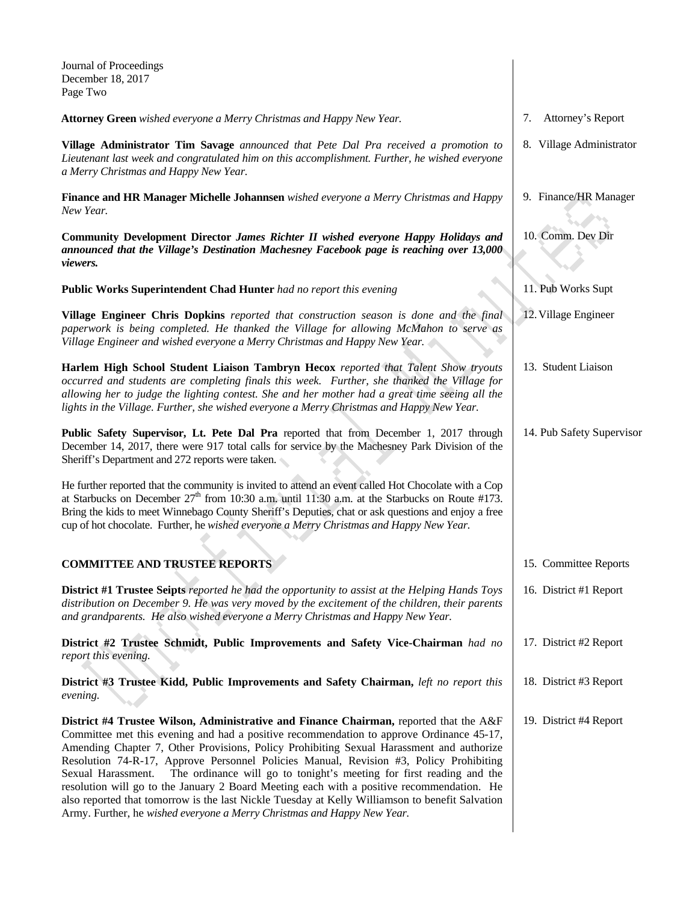| Journal of Proceedings<br>December 18, 2017<br>Page Two                                                                                                                                                                                                                                                                                                                                                                                                                                                                                                                                                                                                                |    |                           |
|------------------------------------------------------------------------------------------------------------------------------------------------------------------------------------------------------------------------------------------------------------------------------------------------------------------------------------------------------------------------------------------------------------------------------------------------------------------------------------------------------------------------------------------------------------------------------------------------------------------------------------------------------------------------|----|---------------------------|
| <b>Attorney Green</b> wished everyone a Merry Christmas and Happy New Year.                                                                                                                                                                                                                                                                                                                                                                                                                                                                                                                                                                                            | 7. | Attorney's Report         |
| Village Administrator Tim Savage announced that Pete Dal Pra received a promotion to<br>Lieutenant last week and congratulated him on this accomplishment. Further, he wished everyone<br>a Merry Christmas and Happy New Year.                                                                                                                                                                                                                                                                                                                                                                                                                                        |    | 8. Village Administrator  |
| Finance and HR Manager Michelle Johannsen wished everyone a Merry Christmas and Happy<br>New Year.                                                                                                                                                                                                                                                                                                                                                                                                                                                                                                                                                                     |    | 9. Finance/HR Manager     |
| Community Development Director James Richter II wished everyone Happy Holidays and<br>announced that the Village's Destination Machesney Facebook page is reaching over 13,000<br><i>viewers.</i>                                                                                                                                                                                                                                                                                                                                                                                                                                                                      |    | 10. Comm. Dev Dir         |
| Public Works Superintendent Chad Hunter had no report this evening                                                                                                                                                                                                                                                                                                                                                                                                                                                                                                                                                                                                     |    | 11. Pub Works Supt        |
| Village Engineer Chris Dopkins reported that construction season is done and the final<br>paperwork is being completed. He thanked the Village for allowing McMahon to serve as<br>Village Engineer and wished everyone a Merry Christmas and Happy New Year.                                                                                                                                                                                                                                                                                                                                                                                                          |    | 12. Village Engineer      |
| Harlem High School Student Liaison Tambryn Hecox reported that Talent Show tryouts<br>occurred and students are completing finals this week. Further, she thanked the Village for<br>allowing her to judge the lighting contest. She and her mother had a great time seeing all the<br>lights in the Village. Further, she wished everyone a Merry Christmas and Happy New Year.                                                                                                                                                                                                                                                                                       |    | 13. Student Liaison       |
| Public Safety Supervisor, Lt. Pete Dal Pra reported that from December 1, 2017 through<br>December 14, 2017, there were 917 total calls for service by the Machesney Park Division of the<br>Sheriff's Department and 272 reports were taken.                                                                                                                                                                                                                                                                                                                                                                                                                          |    | 14. Pub Safety Supervisor |
| He further reported that the community is invited to attend an event called Hot Chocolate with a Cop<br>at Starbucks on December $27th$ from 10:30 a.m. until 11:30 a.m. at the Starbucks on Route #173.<br>Bring the kids to meet Winnebago County Sheriff's Deputies, chat or ask questions and enjoy a free<br>cup of hot chocolate. Further, he wished everyone a Merry Christmas and Happy New Year.                                                                                                                                                                                                                                                              |    |                           |
|                                                                                                                                                                                                                                                                                                                                                                                                                                                                                                                                                                                                                                                                        |    |                           |
| <b>COMMITTEE AND TRUSTEE REPORTS</b>                                                                                                                                                                                                                                                                                                                                                                                                                                                                                                                                                                                                                                   |    | 15. Committee Reports     |
| District #1 Trustee Seipts reported he had the opportunity to assist at the Helping Hands Toys<br>distribution on December 9. He was very moved by the excitement of the children, their parents<br>and grandparents. He also wished everyone a Merry Christmas and Happy New Year.                                                                                                                                                                                                                                                                                                                                                                                    |    | 16. District #1 Report    |
| District #2 Trustee Schmidt, Public Improvements and Safety Vice-Chairman had no<br>report this evening.                                                                                                                                                                                                                                                                                                                                                                                                                                                                                                                                                               |    | 17. District #2 Report    |
| District #3 Trustee Kidd, Public Improvements and Safety Chairman, left no report this<br>evening.                                                                                                                                                                                                                                                                                                                                                                                                                                                                                                                                                                     |    | 18. District #3 Report    |
| District #4 Trustee Wilson, Administrative and Finance Chairman, reported that the A&F<br>Committee met this evening and had a positive recommendation to approve Ordinance 45-17,<br>Amending Chapter 7, Other Provisions, Policy Prohibiting Sexual Harassment and authorize<br>Resolution 74-R-17, Approve Personnel Policies Manual, Revision #3, Policy Prohibiting<br>The ordinance will go to tonight's meeting for first reading and the<br>Sexual Harassment.<br>resolution will go to the January 2 Board Meeting each with a positive recommendation. He<br>also reported that tomorrow is the last Nickle Tuesday at Kelly Williamson to benefit Salvation |    | 19. District #4 Report    |

Army. Further, he *wished everyone a Merry Christmas and Happy New Year.*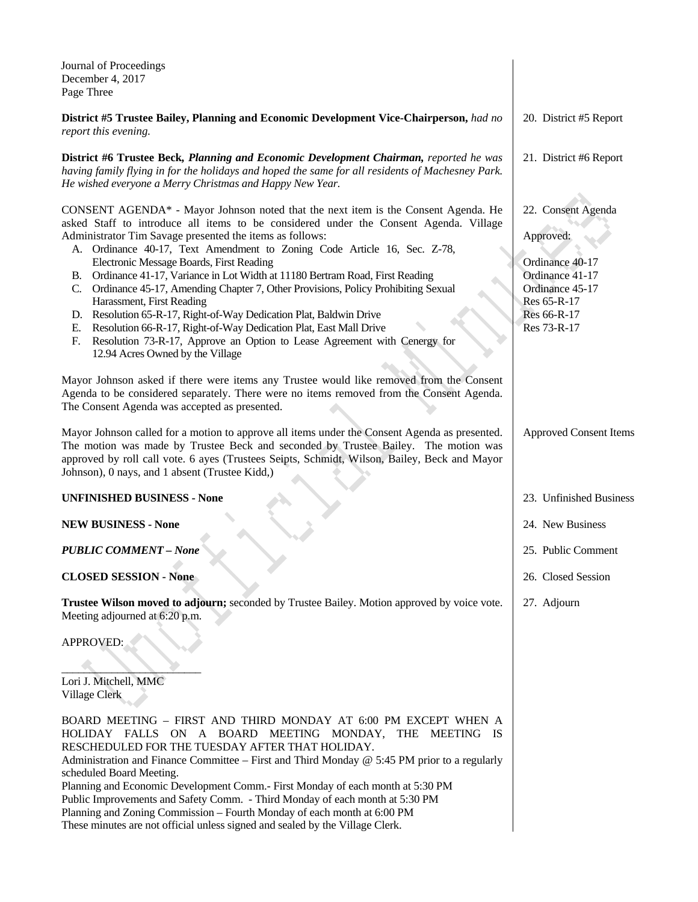| Journal of Proceedings<br>December 4, 2017<br>Page Three                                                                                                                                                                                                                                                                                                                                                                                                                                                                                                                                                                                                                                                                                                                                                                                      |                                                                                                                                       |
|-----------------------------------------------------------------------------------------------------------------------------------------------------------------------------------------------------------------------------------------------------------------------------------------------------------------------------------------------------------------------------------------------------------------------------------------------------------------------------------------------------------------------------------------------------------------------------------------------------------------------------------------------------------------------------------------------------------------------------------------------------------------------------------------------------------------------------------------------|---------------------------------------------------------------------------------------------------------------------------------------|
| District #5 Trustee Bailey, Planning and Economic Development Vice-Chairperson, had no<br>report this evening.                                                                                                                                                                                                                                                                                                                                                                                                                                                                                                                                                                                                                                                                                                                                | 20. District #5 Report                                                                                                                |
| District #6 Trustee Beck, Planning and Economic Development Chairman, reported he was<br>having family flying in for the holidays and hoped the same for all residents of Machesney Park.<br>He wished everyone a Merry Christmas and Happy New Year.                                                                                                                                                                                                                                                                                                                                                                                                                                                                                                                                                                                         | 21. District #6 Report                                                                                                                |
| CONSENT AGENDA* - Mayor Johnson noted that the next item is the Consent Agenda. He<br>asked Staff to introduce all items to be considered under the Consent Agenda. Village<br>Administrator Tim Savage presented the items as follows:<br>A. Ordinance 40-17, Text Amendment to Zoning Code Article 16, Sec. Z-78,<br>Electronic Message Boards, First Reading<br>B. Ordinance 41-17, Variance in Lot Width at 11180 Bertram Road, First Reading<br>C. Ordinance 45-17, Amending Chapter 7, Other Provisions, Policy Prohibiting Sexual<br>Harassment, First Reading<br>D. Resolution 65-R-17, Right-of-Way Dedication Plat, Baldwin Drive<br>Resolution 66-R-17, Right-of-Way Dedication Plat, East Mall Drive<br>Е.<br>Resolution 73-R-17, Approve an Option to Lease Agreement with Cenergy for<br>F.<br>12.94 Acres Owned by the Village | 22. Consent Agenda<br>Approved:<br>Ordinance 40-17<br>Ordinance 41-17<br>Ordinance 45-17<br>Res 65-R-17<br>Res 66-R-17<br>Res 73-R-17 |
| Mayor Johnson asked if there were items any Trustee would like removed from the Consent<br>Agenda to be considered separately. There were no items removed from the Consent Agenda.<br>The Consent Agenda was accepted as presented.<br>Mayor Johnson called for a motion to approve all items under the Consent Agenda as presented.<br>The motion was made by Trustee Beck and seconded by Trustee Bailey. The motion was<br>approved by roll call vote. 6 ayes (Trustees Seipts, Schmidt, Wilson, Bailey, Beck and Mayor<br>Johnson), 0 nays, and 1 absent (Trustee Kidd,)                                                                                                                                                                                                                                                                 | <b>Approved Consent Items</b>                                                                                                         |
| <b>UNFINISHED BUSINESS - None</b>                                                                                                                                                                                                                                                                                                                                                                                                                                                                                                                                                                                                                                                                                                                                                                                                             | 23. Unfinished Business                                                                                                               |
| <b>NEW BUSINESS - None</b>                                                                                                                                                                                                                                                                                                                                                                                                                                                                                                                                                                                                                                                                                                                                                                                                                    | 24. New Business                                                                                                                      |
| <b>PUBLIC COMMENT - None</b>                                                                                                                                                                                                                                                                                                                                                                                                                                                                                                                                                                                                                                                                                                                                                                                                                  | 25. Public Comment                                                                                                                    |
| <b>CLOSED SESSION - None</b>                                                                                                                                                                                                                                                                                                                                                                                                                                                                                                                                                                                                                                                                                                                                                                                                                  | 26. Closed Session                                                                                                                    |
| Trustee Wilson moved to adjourn; seconded by Trustee Bailey. Motion approved by voice vote.<br>Meeting adjourned at 6:20 p.m.<br>APPROVED:<br>Lori J. Mitchell, MMC<br>Village Clerk                                                                                                                                                                                                                                                                                                                                                                                                                                                                                                                                                                                                                                                          | 27. Adjourn                                                                                                                           |
| BOARD MEETING - FIRST AND THIRD MONDAY AT 6:00 PM EXCEPT WHEN A<br>HOLIDAY FALLS ON A BOARD MEETING MONDAY, THE MEETING IS<br>RESCHEDULED FOR THE TUESDAY AFTER THAT HOLIDAY.<br>Administration and Finance Committee – First and Third Monday @ 5:45 PM prior to a regularly                                                                                                                                                                                                                                                                                                                                                                                                                                                                                                                                                                 |                                                                                                                                       |